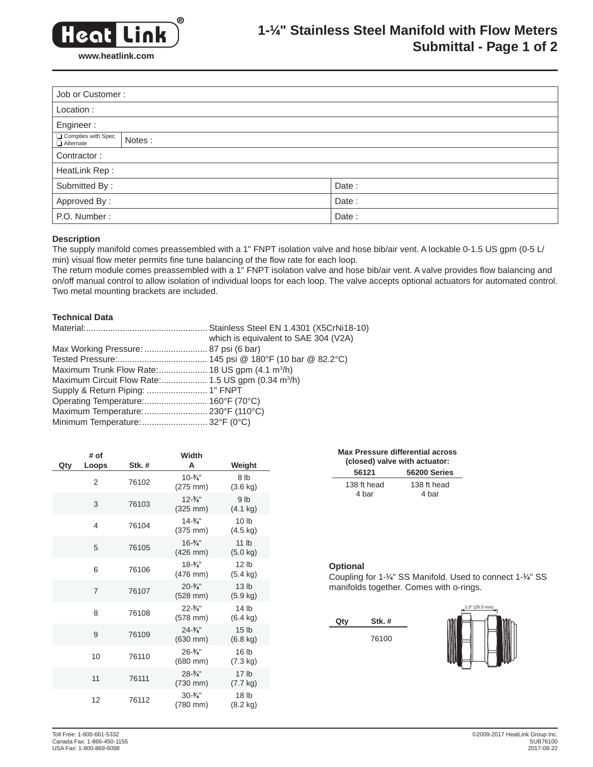

# **1-1 ⁄4" Stainless Steel Manifold with Flow Meters Submittal - Page 1 of 2**

| Job or Customer:                                  |        |       |  |  |
|---------------------------------------------------|--------|-------|--|--|
| Location:                                         |        |       |  |  |
| Engineer:                                         |        |       |  |  |
| Complies with Spec<br>$\overline{\Box}$ Alternate | Notes: |       |  |  |
| Contractor:                                       |        |       |  |  |
| HeatLink Rep:                                     |        |       |  |  |
| Submitted By:                                     |        | Date: |  |  |
| Approved By:                                      |        | Date: |  |  |
| P.O. Number:                                      |        | Date: |  |  |

# **Description**

The supply manifold comes preassembled with a 1" FNPT isolation valve and hose bib/air vent. A lockable 0-1.5 US gpm (0-5 L/ min) visual flow meter permits fine tune balancing of the flow rate for each loop.

The return module comes preassembled with a 1" FNPT isolation valve and hose bib/air vent. A valve provides flow balancing and on/off manual control to allow isolation of individual loops for each loop. The valve accepts optional actuators for automated control. Two metal mounting brackets are included.

#### **Technical Data**

|                                    | which is equivalent to SAE 304 (V2A) |
|------------------------------------|--------------------------------------|
|                                    |                                      |
|                                    |                                      |
|                                    |                                      |
|                                    |                                      |
|                                    |                                      |
|                                    |                                      |
| Maximum Temperature: 230°F (110°C) |                                      |
| Minimum Temperature:  32°F (0°C)   |                                      |

| Qty | # of<br>Loops  | Stk.# | Width<br>A                                   | Weight                                 |
|-----|----------------|-------|----------------------------------------------|----------------------------------------|
|     | $\overline{2}$ | 76102 | $10 - \frac{3}{4}$ "<br>$(275 \, \text{mm})$ | 8 <sub>lb</sub><br>$(3.6 \text{ kg})$  |
|     | 3              | 76103 | $12 - \frac{3}{4}$<br>$(325 \, \text{mm})$   | 9 <sub>lb</sub><br>$(4.1 \text{ kg})$  |
|     | 4              | 76104 | $14 - \frac{3}{4}$<br>$(375 \, \text{mm})$   | 10 <sub>h</sub><br>$(4.5 \text{ kg})$  |
|     | 5              | 76105 | $16 - \frac{3}{4}$<br>$(426$ mm $)$          | 11 <sub>lb</sub><br>$(5.0 \text{ kg})$ |
|     | 6              | 76106 | $18 - \frac{3}{4}$<br>$(476$ mm $)$          | 12 <sub>lb</sub><br>$(5.4 \text{ kg})$ |
|     | 7              | 76107 | $20 - \frac{3}{4}$ "<br>$(528$ mm $)$        | 13 <sub>lb</sub><br>$(5.9 \text{ kg})$ |
|     | 8              | 76108 | $22 - \frac{3}{4}$<br>$(578$ mm $)$          | 14 <sub>lb</sub><br>$(6.4 \text{ kg})$ |
|     | 9              | 76109 | $24 - \frac{3}{4}$<br>$(630$ mm $)$          | 15 <sub>1b</sub><br>$(6.8 \text{ kg})$ |
|     | 10             | 76110 | $26 - \frac{3}{4}$<br>$(680 \, \text{mm})$   | 16 <sub>lb</sub><br>(7.3 kg)           |
|     | 11             | 76111 | $28 - \frac{3}{4}$<br>$(730 \, \text{mm})$   | 17 <sub>lb</sub><br>$(7.7 \text{ kg})$ |
|     | 12             | 76112 | $30 - \frac{3}{4}$ "<br>(780 mm)             | 18 <sub>lb</sub><br>$(8.2 \text{ kg})$ |

| <b>Max Pressure differential across</b><br>(closed) valve with actuator: |                      |  |  |  |
|--------------------------------------------------------------------------|----------------------|--|--|--|
| 56121                                                                    | 56200 Series         |  |  |  |
| 138 ft head<br>4 bar                                                     | 138 ft head<br>4 bar |  |  |  |

# **Optional**

Coupling for 1-1 ⁄4" SS Manifold. Used to connect 1-1 ⁄4" SS manifolds together. Comes with o-rings.